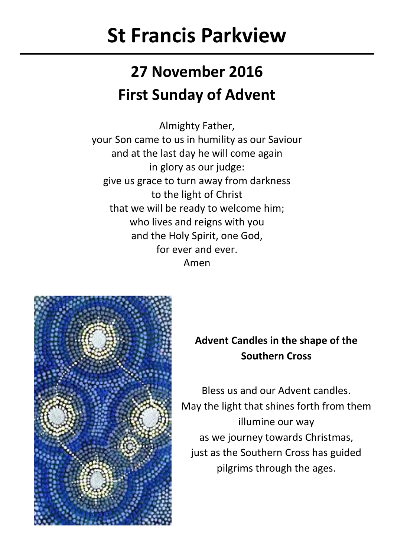# **St Francis Parkview**

## **27 November 2016 First Sunday of Advent**

Almighty Father, your Son came to us in humility as our Saviour and at the last day he will come again in glory as our judge: give us grace to turn away from darkness to the light of Christ that we will be ready to welcome him; who lives and reigns with you and the Holy Spirit, one God, for ever and ever. Amen



### **Advent Candles in the shape of the Southern Cross**

Bless us and our Advent candles. May the light that shines forth from them illumine our way as we journey towards Christmas, just as the Southern Cross has guided pilgrims through the ages.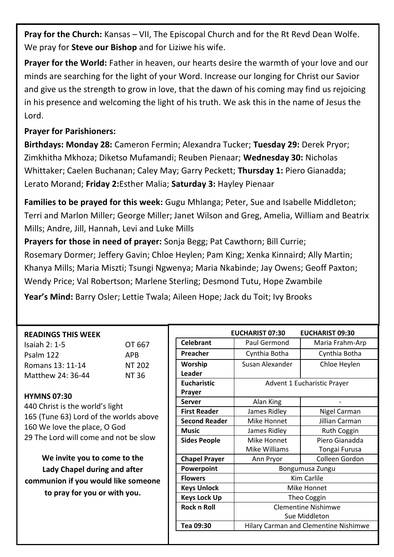**Pray for the Church:** Kansas – VII, The Episcopal Church and for the Rt Revd Dean Wolfe. We pray for **Steve our Bishop** and for Liziwe his wife.

**Prayer for the World:** Father in heaven, our hearts desire the warmth of your love and our minds are searching for the light of your Word. Increase our longing for Christ our Savior and give us the strength to grow in love, that the dawn of his coming may find us rejoicing in his presence and welcoming the light of his truth. We ask this in the name of Jesus the Lord.

### **Prayer for Parishioners:**

**Birthdays: Monday 28:** Cameron Fermin; Alexandra Tucker; **Tuesday 29:** Derek Pryor; Zimkhitha Mkhoza; Diketso Mufamandi; Reuben Pienaar; **Wednesday 30:** Nicholas Whittaker; Caelen Buchanan; Caley May; Garry Peckett; **Thursday 1:** Piero Gianadda; Lerato Morand; **Friday 2:**Esther Malia; **Saturday 3:** Hayley Pienaar

**Families to be prayed for this week:** Gugu Mhlanga; Peter, Sue and Isabelle Middleton; Terri and Marlon Miller; George Miller; Janet Wilson and Greg, Amelia, William and Beatrix Mills; Andre, Jill, Hannah, Levi and Luke Mills

**Prayers for those in need of prayer:** Sonja Begg; Pat Cawthorn; Bill Currie; Rosemary Dormer; Jeffery Gavin; Chloe Heylen; Pam King; Xenka Kinnaird; Ally Martin; Khanya Mills; Maria Miszti; Tsungi Ngwenya; Maria Nkabinde; Jay Owens; Geoff Paxton; Wendy Price; Val Robertson; Marlene Sterling; Desmond Tutu, Hope Zwambile

**Year's Mind:** Barry Osler; Lettie Twala; Aileen Hope; Jack du Toit; Ivy Brooks

| <b>READINGS THIS WEEK</b>                                                                                                       |            |  |                      | EUCHARIST 07:30                              | EUCHARIST 09:30             |
|---------------------------------------------------------------------------------------------------------------------------------|------------|--|----------------------|----------------------------------------------|-----------------------------|
| Isaiah 2: 1-5                                                                                                                   | OT 667     |  | Celebrant            | Paul Germond                                 | Maria Frahm-Arp             |
| Psalm 122                                                                                                                       | <b>APR</b> |  | Preacher             | Cynthia Botha                                | Cynthia Botha               |
| Romans 13: 11-14                                                                                                                | NT 202     |  | Worship              | Susan Alexander                              | Chloe Heylen                |
| Matthew 24: 36-44                                                                                                               | NT 36      |  | Leader               |                                              |                             |
|                                                                                                                                 |            |  | <b>Fucharistic</b>   |                                              | Advent 1 Eucharistic Prayer |
| <b>HYMNS 07:30</b><br>440 Christ is the world's light<br>165 (Tune 63) Lord of the worlds above<br>160 We love the place, O God |            |  | Prayer               |                                              |                             |
|                                                                                                                                 |            |  | Server               | Alan King                                    |                             |
|                                                                                                                                 |            |  | <b>First Reader</b>  | James Ridley                                 | Nigel Carman                |
|                                                                                                                                 |            |  | <b>Second Reader</b> | Mike Honnet                                  | Jillian Carman              |
|                                                                                                                                 |            |  | <b>Music</b>         | James Ridley                                 | <b>Ruth Coggin</b>          |
| 29 The Lord will come and not be slow                                                                                           |            |  | <b>Sides People</b>  | Mike Honnet                                  | Piero Gianadda              |
|                                                                                                                                 |            |  |                      | Mike Williams                                | Tongai Furusa               |
| We invite you to come to the                                                                                                    |            |  | <b>Chapel Prayer</b> | Ann Pryor                                    | Colleen Gordon              |
| Lady Chapel during and after                                                                                                    |            |  | Powerpoint           | Bongumusa Zungu                              |                             |
| communion if you would like someone                                                                                             |            |  | <b>Flowers</b>       | Kim Carlile                                  |                             |
| to pray for you or with you.                                                                                                    |            |  | <b>Keys Unlock</b>   | Mike Honnet                                  |                             |
|                                                                                                                                 |            |  | <b>Keys Lock Up</b>  | Theo Coggin                                  |                             |
|                                                                                                                                 |            |  | <b>Rock n Roll</b>   | Clementine Nishimwe                          |                             |
|                                                                                                                                 |            |  |                      | Sue Middleton                                |                             |
|                                                                                                                                 |            |  | Tea 09:30            | <b>Hilary Carman and Clementine Nishimwe</b> |                             |
|                                                                                                                                 |            |  |                      |                                              |                             |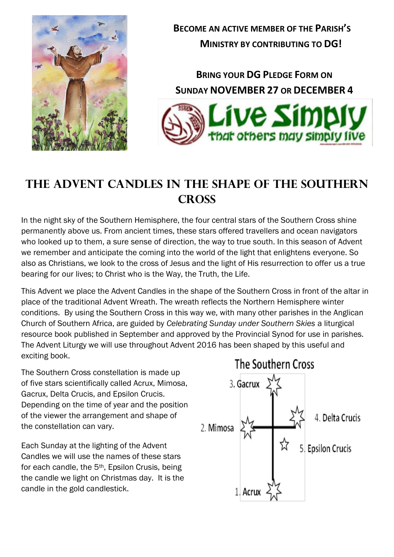

**BECOME AN ACTIVE MEMBER OF THE PARISH'S MINISTRY BY CONTRIBUTING TO DG!**

**BRING YOUR DG PLEDGE FORM ON SUNDAY NOVEMBER 27 OR DECEMBER 4**



### **The Advent Candles in the Shape of the Southern Cross**

In the night sky of the Southern Hemisphere, the four central stars of the Southern Cross shine permanently above us. From ancient times, these stars offered travellers and ocean navigators who looked up to them, a sure sense of direction, the way to true south. In this season of Advent we remember and anticipate the coming into the world of the light that enlightens everyone. So also as Christians, we look to the cross of Jesus and the light of His resurrection to offer us a true bearing for our lives; to Christ who is the Way, the Truth, the Life.

This Advent we place the Advent Candles in the shape of the Southern Cross in front of the altar in place of the traditional Advent Wreath. The wreath reflects the Northern Hemisphere winter conditions. By using the Southern Cross in this way we, with many other parishes in the Anglican Church of Southern Africa, are guided by *Celebrating Sunday under Southern Skies* a liturgical resource book published in September and approved by the Provincial Synod for use in parishes. The Advent Liturgy we will use throughout Advent 2016 has been shaped by this useful and exciting book.

The Southern Cross constellation is made up of five stars scientifically called Acrux, Mimosa, Gacrux, Delta Crucis, and Epsilon Crucis. Depending on the time of year and the position of the viewer the arrangement and shape of the constellation can vary.

Each Sunday at the lighting of the Advent Candles we will use the names of these stars for each candle, the 5th, Epsilon Crusis, being the candle we light on Christmas day. It is the candle in the gold candlestick.